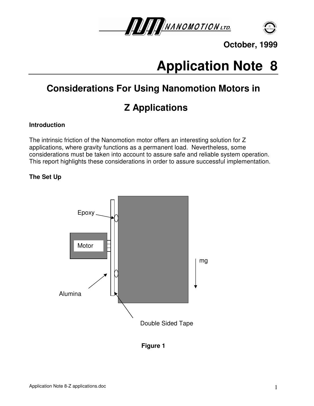



# **Application Note 8**

# **Considerations For Using Nanomotion Motors in**

# **Z Applications**

### **Introduction**

The intrinsic friction of the Nanomotion motor offers an interesting solution for Z applications, where gravity functions as a permanent load. Nevertheless, some considerations must be taken into account to assure safe and reliable system operation. This report highlights these considerations in order to assure successful implementation.

## **The Set Up**



**Figure 1**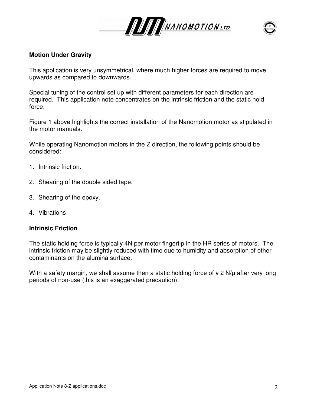



#### **Motion Under Gravity**

This application is very unsymmetrical, where much higher forces are required to move upwards as compared to downwards.

Special tuning of the control set up with different parameters for each direction are required. This application note concentrates on the intrinsic friction and the static hold force.

Figure 1 above highlights the correct installation of the Nanomotion motor as stipulated in the motor manuals.

While operating Nanomotion motors in the Z direction, the following points should be considered:

- 1. Intrinsic friction.
- 2. Shearing of the double sided tape.
- 3. Shearing of the epoxy.
- 4. Vibrations

#### **Intrinsic Friction**

The static holding force is typically 4N per motor fingertip in the HR series of motors. The intrinsic friction may be slightly reduced with time due to humidity and absorption of other contaminants on the alumina surface.

With a safety margin, we shall assume then a static holding force of v 2 N/µ after very long periods of non-use (this is an exaggerated precaution).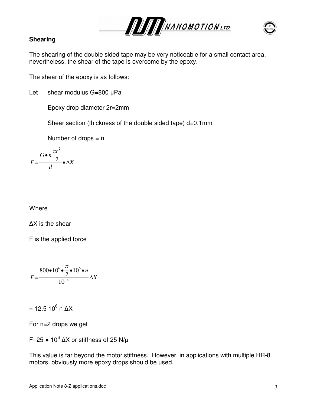



#### **Shearing**

The shearing of the double sided tape may be very noticeable for a small contact area, nevertheless, the shear of the tape is overcome by the epoxy.

The shear of the epoxy is as follows:

Let shear modulus G=800 µPa

Epoxy drop diameter 2r=2mm

Shear section (thickness of the double sided tape) d=0.1mm

Number of drops  $= n$ 

$$
F = \frac{G \bullet n \frac{\pi r^2}{2}}{d} \bullet \Delta X
$$

**Where** 

∆X is the shear

F is the applied force

$$
F = \frac{800 \bullet 10^{6} \bullet \frac{\pi}{2} \bullet 10^{6} \bullet n}{10^{-4}} \Delta X
$$

= 12.5 10 $^6$  n  $\Delta$ X

For n=2 drops we get

F=25  $\bullet$  10<sup>6</sup>  $\Delta$ X or stiffness of 25 N/µ

This value is far beyond the motor stiffness. However, in applications with multiple HR-8 motors, obviously more epoxy drops should be used.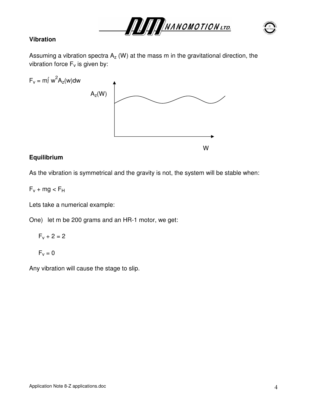

#### **Vibration**

Assuming a vibration spectra  $A<sub>z</sub>$  (W) at the mass m in the gravitational direction, the vibration force  $F_v$  is given by:



#### **Equilibrium**

As the vibration is symmetrical and the gravity is not, the system will be stable when:

$$
F_v + mg < F_H\,
$$

Lets take a numerical example:

One) let m be 200 grams and an HR-1 motor, we get:

$$
F_v + 2 = 2
$$

$$
F_v=0
$$

Any vibration will cause the stage to slip.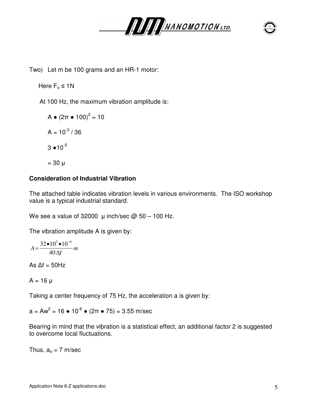



Two) Let m be 100 grams and an HR-1 motor:

Here  $F_v \leq 1$ N

At 100 Hz, the maximum vibration amplitude is:

$$
A \bullet (2\pi \bullet 100)^{2} = 10
$$
  

$$
A = 10^{-3} / 36
$$
  

$$
3 \bullet 10^{-5}
$$
  

$$
= 30 \text{ }\mu
$$

### **Consideration of Industrial Vibration**

The attached table indicates vibration levels in various environments. The ISO workshop value is a typical industrial standard.

We see a value of 32000  $\mu$  inch/sec  $\omega$  50 – 100 Hz.

The vibration amplitude A is given by:

$$
A = \frac{32 \cdot 10^3 \cdot 10^{-6}}{40 \Delta f} m
$$

As  $\Delta f = 50$ Hz

$$
A = 16 \mu
$$

Taking a center frequency of 75 Hz, the acceleration a is given by:

a = Aw<sup>2</sup> = 16  $\bullet$  10<sup>-6</sup>  $\bullet$  (2π  $\bullet$  75) = 3.55 m/sec

Bearing in mind that the vibration is a statistical effect, an additional factor 2 is suggested to overcome local fluctuations.

Thus,  $a_v = 7$  m/sec